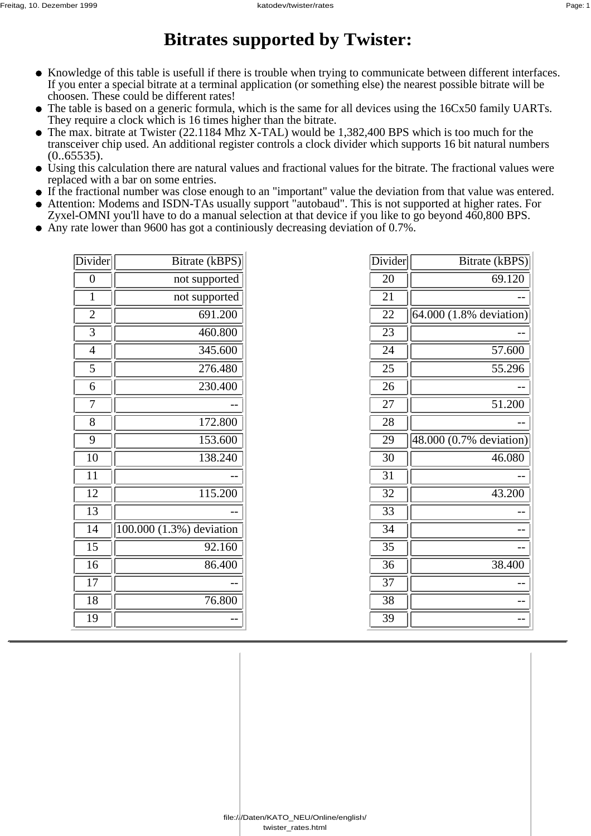## **Bitrates supported by Twister:**

- Knowledge of this table is usefull if there is trouble when trying to communicate between different interfaces. If you enter a special bitrate at a terminal application (or something else) the nearest possible bitrate will be choosen. These could be different rates!
- The table is based on a generic formula, which is the same for all devices using the 16Cx50 family UARTs. They require a clock which is 16 times higher than the bitrate.
- The max. bitrate at Twister (22.1184 Mhz X-TAL) would be 1,382,400 BPS which is too much for the transceiver chip used. An additional register controls a clock divider which supports 16 bit natural numbers  $(0.65535).$
- Using this calculation there are natural values and fractional values for the bitrate. The fractional values were replaced with a bar on some entries.
- If the fractional number was close enough to an "important" value the deviation from that value was entered.
- Attention: Modems and ISDN-TAs usually support "autobaud". This is not supported at higher rates. For  $\bullet$ Zyxel-OMNI you'll have to do a manual selection at that device if you like to go beyond 460,800 BPS.
- Any rate lower than 9600 has got a continiously decreasing deviation of 0.7%.

| Divider         | Bitrate (kBPS)           |
|-----------------|--------------------------|
| $\overline{0}$  | not supported            |
| 1               | not supported            |
| $\overline{2}$  | 691.200                  |
| 3               | 460.800                  |
| $\overline{4}$  | 345.600                  |
| 5               | 276.480                  |
| 6               | 230.400                  |
| 7               |                          |
| 8               | 172.800                  |
| 9               | 153.600                  |
| $\overline{10}$ | 138.240                  |
| $\overline{11}$ |                          |
| 12              | 115.200                  |
| 13              |                          |
| 14              | 100.000 (1.3%) deviation |
| 15              | 92.160                   |
| 16              | 86.400                   |
| $\overline{17}$ |                          |
| 18              | 76.800                   |
| 19              |                          |

| $\chi$ ivider | Bitrate (kBPS)          |
|---------------|-------------------------|
| 20            | 69.120                  |
| 21            |                         |
| 22            | 64.000 (1.8% deviation) |
| 23            |                         |
| 24            | 57.600                  |
| 25            | 55.296                  |
| 26            |                         |
| 27            | 51.200                  |
| 28            |                         |
| 29            | 48.000 (0.7% deviation) |
| 30            | 46.080                  |
| 31            |                         |
| 32            | 43.200                  |
| 33            |                         |
| 34            |                         |
| 35            |                         |
| 36            | 38.400                  |
| 37            |                         |
| 38            |                         |
| 39            |                         |